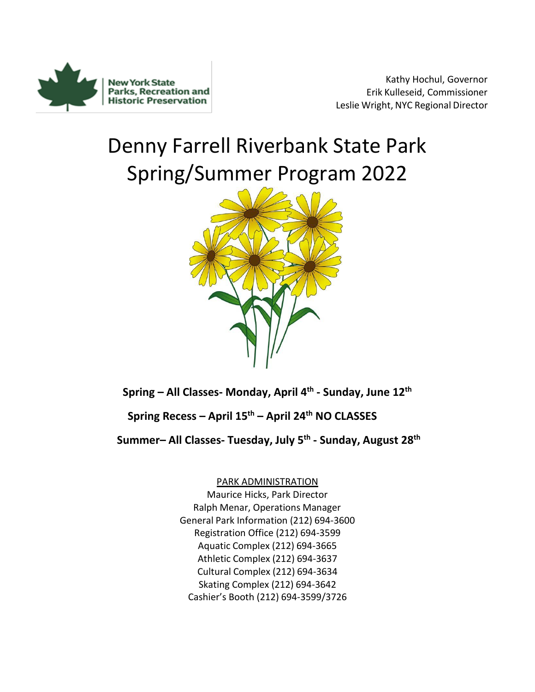

Kathy Hochul, Governor Erik Kulleseid, Commissioner Leslie Wright, NYC Regional Director

# Denny Farrell Riverbank State Park Spring/Summer Program 2022



**Spring – All Classes- Monday, April 4th - Sunday, June 12th**

**Spring Recess – April 15th – April 24th NO CLASSES** 

**Summer– All Classes- Tuesday, July 5 th - Sunday, August 28th**

PARK ADMINISTRATION

Maurice Hicks, Park Director Ralph Menar, Operations Manager General Park Information (212) 694-3600 Registration Office (212) 694-3599 Aquatic Complex (212) 694-3665 Athletic Complex (212) 694-3637 Cultural Complex (212) 694-3634 Skating Complex (212) 694-3642 Cashier's Booth (212) 694-3599/3726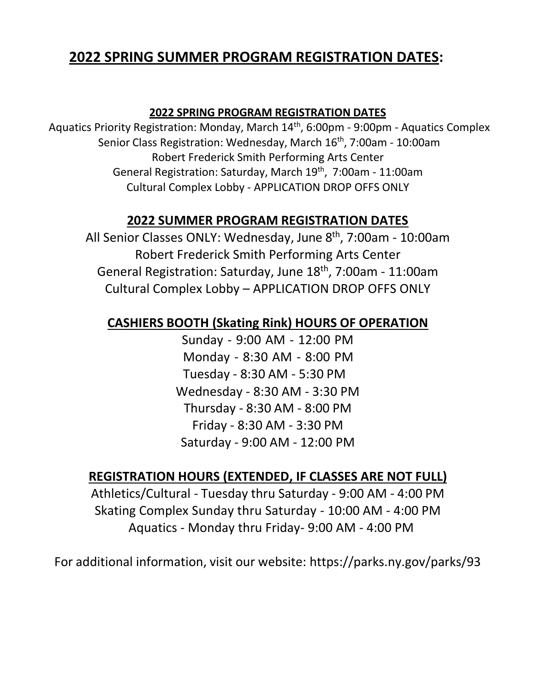## **2022 SPRING SUMMER PROGRAM REGISTRATION DATES:**

## **2022 SPRING PROGRAM REGISTRATION DATES**

Aquatics Priority Registration: Monday, March 14th, 6:00pm - 9:00pm - Aquatics Complex Senior Class Registration: Wednesday, March 16<sup>th</sup>, 7:00am - 10:00am Robert Frederick Smith Performing Arts Center General Registration: Saturday, March 19<sup>th</sup>, 7:00am - 11:00am Cultural Complex Lobby - APPLICATION DROP OFFS ONLY

## **2022 SUMMER PROGRAM REGISTRATION DATES**

All Senior Classes ONLY: Wednesday, June 8<sup>th</sup>, 7:00am - 10:00am Robert Frederick Smith Performing Arts Center General Registration: Saturday, June 18<sup>th</sup>, 7:00am - 11:00am Cultural Complex Lobby – APPLICATION DROP OFFS ONLY

## **CASHIERS BOOTH (Skating Rink) HOURS OF OPERATION**

Sunday - 9:00 AM - 12:00 PM Monday - 8:30 AM - 8:00 PM Tuesday - 8:30 AM - 5:30 PM Wednesday - 8:30 AM - 3:30 PM Thursday - 8:30 AM - 8:00 PM Friday - 8:30 AM - 3:30 PM Saturday - 9:00 AM - 12:00 PM

## **REGISTRATION HOURS (EXTENDED, IF CLASSES ARE NOT FULL)**

Athletics/Cultural - Tuesday thru Saturday - 9:00 AM - 4:00 PM Skating Complex Sunday thru Saturday - 10:00 AM - 4:00 PM Aquatics - Monday thru Friday- 9:00 AM - 4:00 PM

For additional information, visit our website: https://parks.ny.gov/parks/93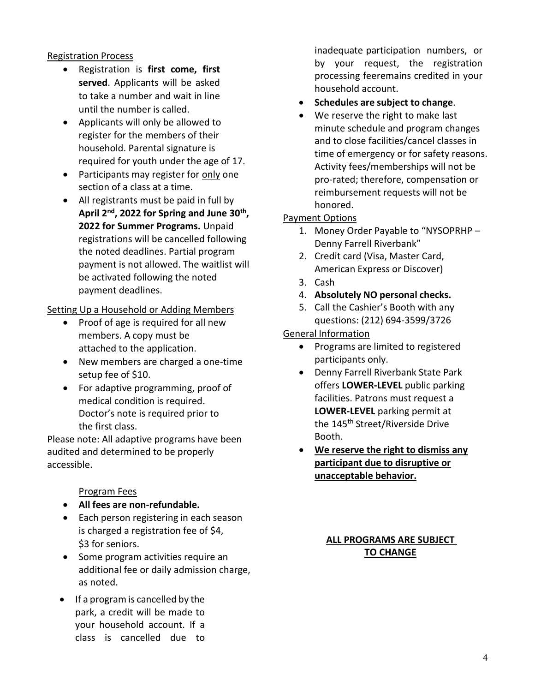## Registration Process

- Registration is **first come, first served**. Applicants will be asked to take a number and wait in line until the number is called.
- Applicants will only be allowed to register for the members of their household. Parental signature is required for youth under the age of 17.
- Participants may register for only one section of a class at a time.
- All registrants must be paid in full by **April 2nd , 2022 for Spring and June 30th , 2022 for Summer Programs.** Unpaid registrations will be cancelled following the noted deadlines. Partial program payment is not allowed. The waitlist will be activated following the noted payment deadlines.

## Setting Up a Household or Adding Members

- Proof of age is required for all new members. A copy must be attached to the application.
- New members are charged a one-time setup fee of \$10.
- For adaptive programming, proof of medical condition is required. Doctor's note is required prior to the first class.

Please note: All adaptive programs have been audited and determined to be properly accessible.

## Program Fees

- **All fees are non-refundable.**
- Each person registering in each season is charged a registration fee of \$4, \$3 for seniors.
- Some program activities require an additional fee or daily admission charge, as noted.
- If a program is cancelled by the park, a credit will be made to your household account. If a class is cancelled due to

inadequate participation numbers, or by your request, the registration processing feeremains credited in your household account.

- **Schedules are subject to change**.
- We reserve the right to make last minute schedule and program changes and to close facilities/cancel classes in time of emergency or for safety reasons. Activity fees/memberships will not be pro-rated; therefore, compensation or reimbursement requests will not be honored.

## Payment Options

- 1. Money Order Payable to "NYSOPRHP Denny Farrell Riverbank"
- 2. Credit card (Visa, Master Card, American Express or Discover)
- 3. Cash
- 4. **Absolutely NO personal checks.**
- 5. Call the Cashier's Booth with any questions: (212) 694-3599/3726

## General Information

- Programs are limited to registered participants only.
- Denny Farrell Riverbank State Park offers **LOWER-LEVEL** public parking facilities. Patrons must request a **LOWER-LEVEL** parking permit at the 145<sup>th</sup> Street/Riverside Drive Booth.
- **We reserve the right to dismiss any participant due to disruptive or unacceptable behavior.**

## **ALL PROGRAMS ARE SUBJECT TO CHANGE**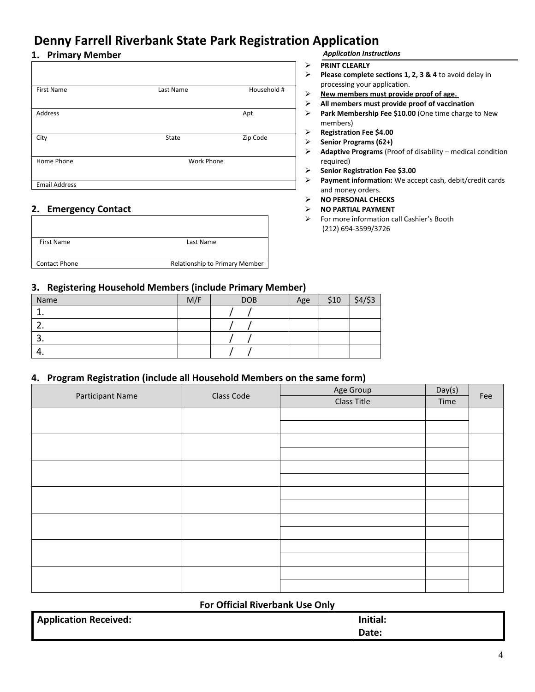## **Denny Farrell Riverbank State Park Registration Application**

## **1. Primary Member**

| <b>First Name</b>    | Last Name         | Household # |
|----------------------|-------------------|-------------|
| Address              |                   | Apt         |
| City                 | State             | Zip Code    |
| Home Phone           | <b>Work Phone</b> |             |
| <b>Email Address</b> |                   |             |

## **2. Emergency Contact**

| <b>First Name</b>    | Last Name                      |
|----------------------|--------------------------------|
|                      |                                |
| <b>Contact Phone</b> | Relationship to Primary Member |
|                      |                                |

### *Application Instructions*

### ➢ **PRINT CLEARLY**

- ➢ **Please complete sections 1, 2, 3 & 4** to avoid delay in processing your application.
- ➢ **New members must provide proof of age.**
- ➢ **All members must provide proof of vaccination**
- ➢ **Park Membership Fee \$10.00** (One time charge to New members)
- ➢ **Registration Fee \$4.00**
- ➢ **Senior Programs (62+)**
- ➢ **Adaptive Programs** (Proof of disability medical condition required)
- ➢ **Senior Registration Fee \$3.00**
- ➢ **Payment information:** We accept cash, debit/credit cards and money orders.
- ➢ **NO PERSONAL CHECKS**
- ➢ **NO PARTIAL PAYMENT**
- ➢ For more information call Cashier's Booth (212) 694-3599/3726

### **3. Registering Household Members (include Primary Member)**

| Name          | M/F | <b>DOB</b> | Age | \$10 | $$4/$ \$3 |
|---------------|-----|------------|-----|------|-----------|
| ∸∙            |     |            |     |      |           |
| -<br>ـ ـ      |     |            |     |      |           |
| -<br><u>.</u> |     |            |     |      |           |
| 4.            |     |            |     |      |           |

## **4. Program Registration (include all Household Members on the same form)**

| Participant Name | Class Code | Age Group          | Day(s) | Fee |
|------------------|------------|--------------------|--------|-----|
|                  |            | <b>Class Title</b> | Time   |     |
|                  |            |                    |        |     |
|                  |            |                    |        |     |
|                  |            |                    |        |     |
|                  |            |                    |        |     |
|                  |            |                    |        |     |
|                  |            |                    |        |     |
|                  |            |                    |        |     |
|                  |            |                    |        |     |
|                  |            |                    |        |     |
|                  |            |                    |        |     |
|                  |            |                    |        |     |
|                  |            |                    |        |     |
|                  |            |                    |        |     |
|                  |            |                    |        |     |

### **For Official Riverbank Use Only**

| <b>Application Received:</b> | Initial: |
|------------------------------|----------|
|                              | Date:    |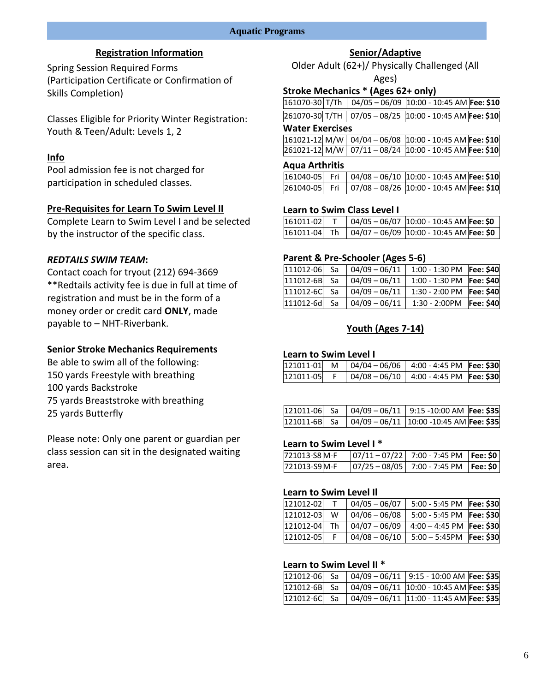## **Registration Information**

Spring Session Required Forms (Participation Certificate or Confirmation of Skills Completion)

Classes Eligible for Priority Winter Registration: Youth & Teen/Adult: Levels 1, 2

## **Info**

Pool admission fee is not charged for participation in scheduled classes.

## **Pre-Requisites for Learn To Swim Level II**

Complete Learn to Swim Level I and be selected by the instructor of the specific class.

### *REDTAILS SWIM TEAM***:**

Contact coach for tryout (212) 694-3669 \*\*Redtails activity fee is due in full at time of registration and must be in the form of a money order or credit card **ONLY**, made payable to – NHT-Riverbank.

## **Senior Stroke Mechanics Requirements**

Be able to swim all of the following: 150 yards Freestyle with breathing 100 yards Backstroke 75 yards Breaststroke with breathing 25 yards Butterfly

Please note: Only one parent or guardian per class session can sit in the designated waiting area.

## **Senior/Adaptive**

Older Adult (62+)/ Physically Challenged (All Ages)

### **Stroke Mechanics \* (Ages 62+ only)**

|  | 161070-30 T/Th 04/05 - 06/09 10:00 - 10:45 AM Fee: \$10 |  |
|--|---------------------------------------------------------|--|

|--|--|--|--|--|

### **Water Exercises**

|  | $\vert 161021 - 12 \vert M/W \vert 04/04 - 06/08 \vert 10:00 - 10:45 AM \vert \text{Fee: } 510 \vert$ |  |
|--|-------------------------------------------------------------------------------------------------------|--|
|  | 261021-12 M/W 07/11-08/24 10:00 - 10:45 AM Fee: \$10                                                  |  |

### **Aqua Arthritis**

|  | 161040-05 Fri 04/08 - 06/10 10:00 - 10:45 AM Fee: \$10 |  |
|--|--------------------------------------------------------|--|
|  | 261040-05 Fri 07/08 - 08/26 10:00 - 10:45 AM Fee: \$10 |  |

### **Learn to Swim Class Level I**

| 161011-02 |  | $04/05 - 06/07$ 10:00 - 10:45 AM Fee: \$0               |
|-----------|--|---------------------------------------------------------|
|           |  | $ 161011-04 $ Th $ 04/07-06/09 10:00-10:45$ AM Fee: \$0 |

### **Parent & Pre-Schooler (Ages 5-6)**

| 111012-06 Sa | $04/09 - 06/11$ | 1:00 - 1:30 PM Fee: \$40  |  |
|--------------|-----------------|---------------------------|--|
| 111012-6B Sa | $04/09 - 06/11$ | 1:00 - 1:30 PM Fee: \$40  |  |
| 111012-6C Sa | $04/09 - 06/11$ | 1:30 - 2:00 PM Fee: \$40  |  |
| 111012-6d Sa | $04/09 - 06/11$ | 1:30 - 2:00PM   Fee: \$40 |  |

## **Youth (Ages 7-14)**

### **Learn to Swim Level I**

|  | $121011 - 01$ M $\big  04/04 - 06/06 \big  4:00 - 4:45 \text{ PM}$ Fee: \$30 |  |
|--|------------------------------------------------------------------------------|--|
|  | $121011-05$ F $\vert$ 04/08 - 06/10 4:00 - 4:45 PM Fee: \$30                 |  |

|  | $121011-06$ Sa $04/09-06/11$ 9:15 -10:00 AM Fee: \$35               |  |
|--|---------------------------------------------------------------------|--|
|  | 121011-6B Sa $\big  04/09 - 06/11 \big  10:00 - 10:45$ AM Fee: \$35 |  |

### **Learn to Swim Level I \***

| 721013-S8 M-F | $ 07/11 - 07/22 $ 7:00 - 7:45 PM Fee: \$0 |  |
|---------------|-------------------------------------------|--|
| 721013-S9M-F  | $ 07/25 - 08/05 $ 7:00 - 7:45 PM Fee: \$0 |  |

### **Learn to Swim Level Il**

| 121012-02 |    | $04/05 - 06/07$ | 5:00 - 5:45 PM   Fee: \$30   |  |
|-----------|----|-----------------|------------------------------|--|
| 121012-03 | W  | $04/06 - 06/08$ | 5:00 - 5:45 PM   Fee: \$30   |  |
| 121012-04 | Th | $04/07 - 06/09$ | $4:00 - 4:45$ PM   Fee: \$30 |  |
| 121012-05 |    | $04/08 - 06/10$ | $5:00 - 5:45PM$  Fee: \$30   |  |

### **Learn to Swim Level II \***

|  | $ 121012-06 $ Sa $ 04/09-06/11 9:15 - 10:00$ AM Fee: \$35             |  |
|--|-----------------------------------------------------------------------|--|
|  | $121012 - 6B$ Sa $04/09 - 06/11$ 10:00 - 10:45 AM Fee: \$35           |  |
|  | $\vert$ 121012-6C Sa $\vert$ 04/09 - 06/11 11:00 - 11:45 AM Fee: \$35 |  |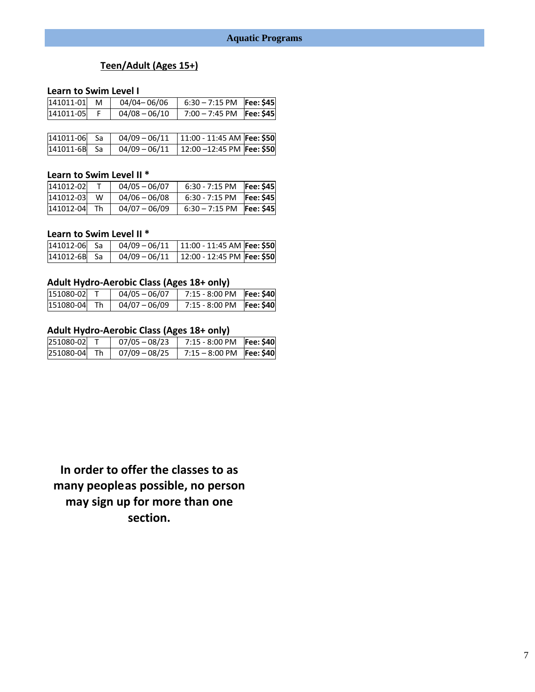## **Teen/Adult (Ages 15+)**

### **Learn to Swim Level I**

| 141011-01 | M | 04/04-06/06     | $6:30 - 7:15$ PM   Fee: \$45 |  |
|-----------|---|-----------------|------------------------------|--|
| 141011-05 |   | $04/08 - 06/10$ | 7:00 - 7:45 PM   Fee: \$45   |  |
|           |   |                 |                              |  |

| 141011-06 Sa |  | 04/09 - 06/11   11:00 - 11:45 AM   Fee: \$50                    |  |
|--------------|--|-----------------------------------------------------------------|--|
|              |  | $ 141011 - 6B $ Sa $ 04/09 - 06/11  12:00 - 12:45 PM$ Fee: \$50 |  |

## **Learn to Swim Level II \***

| 141012-02 |    | $04/05 - 06/07$ | $6:30 - 7:15$ PM           | Fee: \$45  |
|-----------|----|-----------------|----------------------------|------------|
| 141012-03 | W  | $04/06 - 06/08$ | $6:30 - 7:15$ PM           | Fee: \$45l |
| 141012-04 | Th | $04/07 - 06/09$ | $6:30 - 7:15$ PM Fee: \$45 |            |

### **Learn to Swim Level II \***

| 141012-06 Sa | $04/09 - 06/11$ | $11:00 - 11:45$ AM Fee: \$50 |  |
|--------------|-----------------|------------------------------|--|
| 141012-6B Sa | $04/09 - 06/11$ | 12:00 - 12:45 PM Fee: \$50   |  |

## **Adult Hydro-Aerobic Class (Ages 18+ only)**

| 151080-02 |    | $04/05 - 06/07$ | 7:15 - 8:00 PM   Fee: \$40 |  |
|-----------|----|-----------------|----------------------------|--|
| 151080-04 | Th | $04/07 - 06/09$ | 7:15 - 8:00 PM   Fee: \$40 |  |

## **Adult Hydro-Aerobic Class (Ages 18+ only)**

| 251080-02 |     | $07/05 - 08/23$ | 7:15 - 8:00 PM   Fee: \$40 |  |
|-----------|-----|-----------------|----------------------------|--|
| 251080-04 | -Th | $07/09 - 08/25$ | 7:15 - 8:00 PM   Fee: \$40 |  |

**In order to offer the classes to as many peopleas possible, no person may sign up for more than one section.**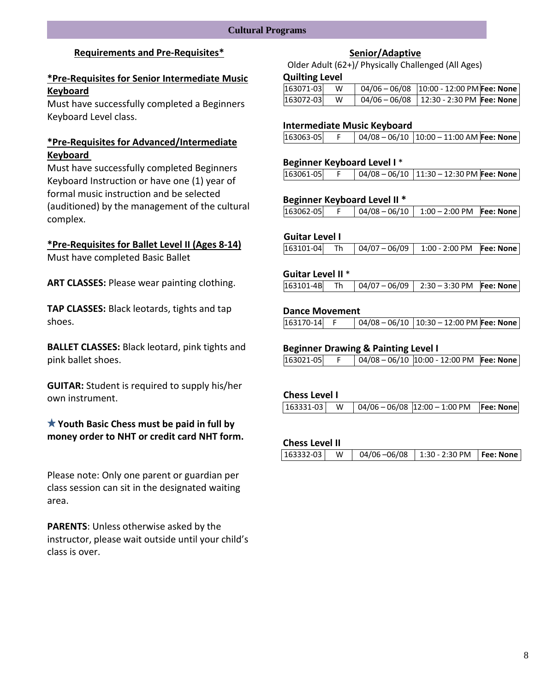## **Requirements and Pre-Requisites\***

## **\*Pre-Requisites for Senior Intermediate Music Keyboard**

Must have successfully completed a Beginners Keyboard Level class.

## **\*Pre-Requisites for Advanced/Intermediate Keyboard**

Must have successfully completed Beginners Keyboard Instruction or have one (1) year of formal music instruction and be selected (auditioned) by the management of the cultural complex.

### **\*Pre-Requisites for Ballet Level II (Ages 8-14)**

Must have completed Basic Ballet

**ART CLASSES:** Please wear painting clothing.

**TAP CLASSES:** Black leotards, tights and tap shoes.

**BALLET CLASSES:** Black leotard, pink tights and pink ballet shoes.

**GUITAR:** Student is required to supply his/her own instrument.

**Youth Basic Chess must be paid in full by money order to NHT or credit card NHT form.**

Please note: Only one parent or guardian per class session can sit in the designated waiting area.

**PARENTS**: Unless otherwise asked by the instructor, please wait outside until your child's class is over.

### **Senior/Adaptive**

Older Adult (62+)/ Physically Challenged (All Ages)

#### **Quilting Level**

| 163071-03 | W | $\vert$ 04/06 - 06/08 $\vert$ 10:00 - 12:00 PM Fee: None |  |
|-----------|---|----------------------------------------------------------|--|
| 163072-03 | W | 04/06 - 06/08   12:30 - 2:30 PM   Fee: None              |  |

### **Intermediate Music Keyboard**

| 163063-05 |  | $\vert$ 04/08 – 06/10 $\vert$ 10:00 – 11:00 AM Fee: None |
|-----------|--|----------------------------------------------------------|
|           |  |                                                          |

### **Beginner Keyboard Level I** \*

|  |  | 163061-05 |  |  | $\vert$ 04/08 – 06/10 $\vert$ 11:30 – 12:30 PM Fee: None |  |
|--|--|-----------|--|--|----------------------------------------------------------|--|
|--|--|-----------|--|--|----------------------------------------------------------|--|

### **Beginner Keyboard Level II \***

| 163062-05 |  |  | $\vert$ 04/08 - 06/10 $\vert$ 1:00 - 2:00 PM Fee: None |  |
|-----------|--|--|--------------------------------------------------------|--|
|-----------|--|--|--------------------------------------------------------|--|

### **Guitar Level I**

| $163101 - 04$ Th $04/07 - 06/09$ 1:00 - 2:00 PM Fee: None |
|-----------------------------------------------------------|
|-----------------------------------------------------------|

### **Guitar Level II** \*

|  |  |  |  | $ 163101-4B $ Th $ 04/07-06/09 $ 2:30 - 3:30 PM Fee: None |  |
|--|--|--|--|-----------------------------------------------------------|--|
|--|--|--|--|-----------------------------------------------------------|--|

### **Dance Movement**

163170-14 F 04/08 – 06/10 10:30 – 12:00 PM **Fee: None**

### **Beginner Drawing & Painting Level I**

|  | 163021-05 |  |  | $\vert$ 04/08 – 06/10 10:00 - 12:00 PM Fee: None |  |  |
|--|-----------|--|--|--------------------------------------------------|--|--|
|--|-----------|--|--|--------------------------------------------------|--|--|

### **Chess Level I**

| $\vert$ 04/06 - 06/08 $\vert$ 12:00 - 1:00 PM Fee: None<br>163331-03 W |  |
|------------------------------------------------------------------------|--|
|------------------------------------------------------------------------|--|

### **Chess Level II**

|  | $\vert 163332-03 \vert$ W $\vert 04/06-06/08 \vert 1:30$ - 2:30 PM $\vert$ Fee: None $\vert$ |  |
|--|----------------------------------------------------------------------------------------------|--|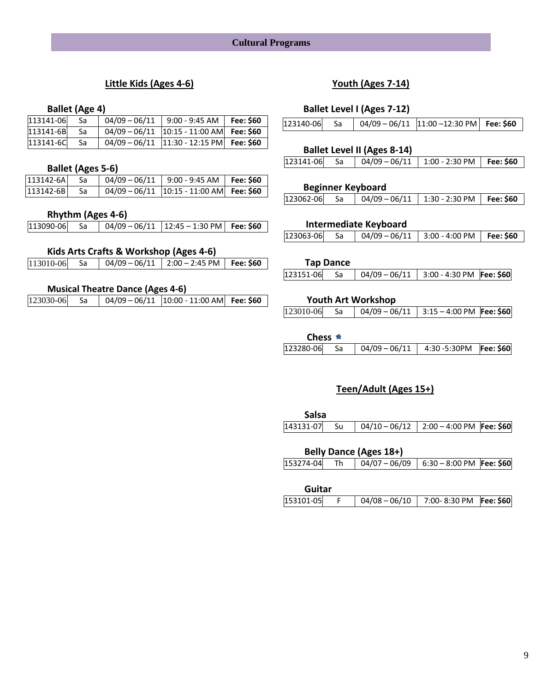## **Cultural Programs**

## **Little Kids (Ages 4-6)**

### **Ballet (Age 4)**

| 113141-06 | -Sa | $04/09 - 06/11$   9:00 - 9:45 AM   Fee: \$60                                       |  |
|-----------|-----|------------------------------------------------------------------------------------|--|
| 113141-6B | -Sa | $\begin{bmatrix} 04/09 - 06/11 & 10:15 - 11:00 \text{ AM} \end{bmatrix}$ Fee: \$60 |  |
| 113141-6C | -Sa | $04/09 - 06/11$  11:30 - 12:15 PM   Fee: \$60                                      |  |

### **Ballet (Ages 5-6)**

| 113142-6Al | -Sa  | $04/09 - 06/11$   9:00 - 9:45 AM   Fee: \$60  |  |
|------------|------|-----------------------------------------------|--|
| 113142-6B  | - Sa | $04/09 - 06/11$  10:15 - 11:00 AM   Fee: \$60 |  |

### **Rhythm (Ages 4-6)**

| 113090-06  Sa | $\begin{bmatrix} 04/09 - 06/11 & 12:45 - 1:30 \text{ PM} \end{bmatrix}$ Fee: \$60 |  |  |
|---------------|-----------------------------------------------------------------------------------|--|--|
|---------------|-----------------------------------------------------------------------------------|--|--|

## **Kids Arts Crafts & Workshop (Ages 4-6)**

| 113010-06 Sa | 04/09 - 06/11   2:00 - 2:45 PM   Fee: \$60 |  |  |
|--------------|--------------------------------------------|--|--|
|--------------|--------------------------------------------|--|--|

## **Musical Theatre Dance (Ages 4-6)**

| 123030-06 Sa |  |  | $\begin{bmatrix} 04/09-06/11 & 10:00-11:00 AM \end{bmatrix}$ Fee: \$60 |  |
|--------------|--|--|------------------------------------------------------------------------|--|
|--------------|--|--|------------------------------------------------------------------------|--|

## **Youth (Ages 7-14)**

## **Ballet Level I (Ages 7-12)**

### **Ballet Level II (Ages 8-14)**

| $123141 - 06$ Sa<br>  04/09 - 06/11   1:00 - 2:30 PM   Fee: \$60 |  |  |  |
|------------------------------------------------------------------|--|--|--|
|                                                                  |  |  |  |

### **Beginner Keyboard**

| 123062-06 Sa |  | 04/09 - 06/11   1:30 - 2:30 PM   Fee: \$60 |  |
|--------------|--|--------------------------------------------|--|
|--------------|--|--------------------------------------------|--|

### **Intermediate Keyboard**

|           | <b>Tap Dance</b> |                                              |  |
|-----------|------------------|----------------------------------------------|--|
| 123151-06 | Sa               | $04/09 - 06/11$   3:00 - 4:30 PM   Fee: \$60 |  |

### **Youth Art Workshop**

### **Chess**

| $123280-06$ Sa $\vert$ 04/09 - 06/11 4:30 -5:30PM Fee: \$60 |  |  |  |
|-------------------------------------------------------------|--|--|--|
|-------------------------------------------------------------|--|--|--|

## **Teen/Adult (Ages 15+)**

| <b>Salsa</b> |  |  |
|--------------|--|--|
|              |  |  |

|           |    | <b>Belly Dance (Ages 18+)</b> |                                            |  |
|-----------|----|-------------------------------|--------------------------------------------|--|
| 153274-04 | Th |                               | 04/07 - 06/09   6:30 - 8:00 PM   Fee: \$60 |  |
|           |    |                               |                                            |  |

| Guitar    |                                      |  |
|-----------|--------------------------------------|--|
| 153101-05 | 04/08 - 06/10 7:00-8:30 PM Fee: \$60 |  |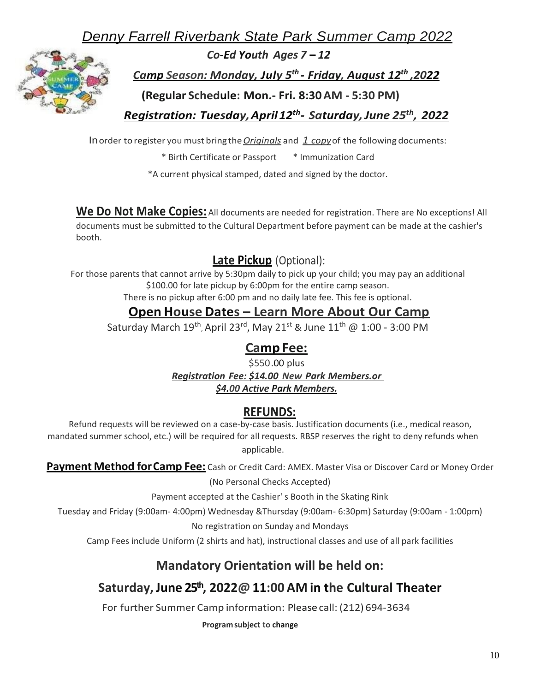*Denny Farrell Riverbank State Park Summer Camp 2022*



*Co-Ed Youth Ages 7* **–** *12*

*Camp Season: Monday, July 5 th - Friday, August 12th ,2022*

**(Regular Schedule: Mon.- Fri. 8:30AM - 5:30 PM)**

*Registration: Tuesday,April12th - Saturday,June 25th , 2022*

Inorder to register you must bring the*Originals* and *1 copy*of the following documents:

\* Birth Certificate or Passport \* Immunization Card

\*A current physical stamped, dated and signed by the doctor.

**We Do Not Make Copies:** All documents are needed for registration. There are No exceptions! All documents must be submitted to the Cultural Department before payment can be made at the cashier's booth.

## **Late Pickup** (Optional):

For those parents that cannot arrive by 5:30pm daily to pick up your child; you may pay an additional \$100.00 for late pickup by 6:00pm for the entire camp season.

There is no pickup after 6:00 pm and no daily late fee. This fee is optional.

## **Open House Dates – Learn More About Our Camp**

Saturday March 19<sup>th</sup>, April 23<sup>rd</sup>, May 21<sup>st</sup> & June 11<sup>th</sup> @ 1:00 - 3:00 PM

## **Camp Fee:**

\$550.00 plus *Registration Fee: \$14.00 New Park Members.or \$4.00 Active Park Members.*

## **REFUNDS:**

Refund requests will be reviewed on a case-by-case basis. Justification documents (i.e., medical reason, mandated summer school, etc.) will be required for all requests. RBSP reserves the right to deny refunds when applicable.

**Payment Method forCamp Fee:** Cash or Credit Card: AMEX. Master Visa or Discover Card or Money Order

(No Personal Checks Accepted)

Payment accepted at the Cashier' s Booth in the Skating Rink

Tuesday and Friday (9:00am- 4:00pm) Wednesday &Thursday (9:00am- 6:30pm) Saturday (9:00am - 1:00pm)

No registration on Sunday and Mondays

Camp Fees include Uniform (2 shirts and hat), instructional classes and use of all park facilities

## **Mandatory Orientation will be held on:**

## **Saturday,June 25th, 2022@ 11:00 AM in the Cultural Theater**

For further Summer Camp information: Pleasecall: (212) 694-3634

**Programsubject to change**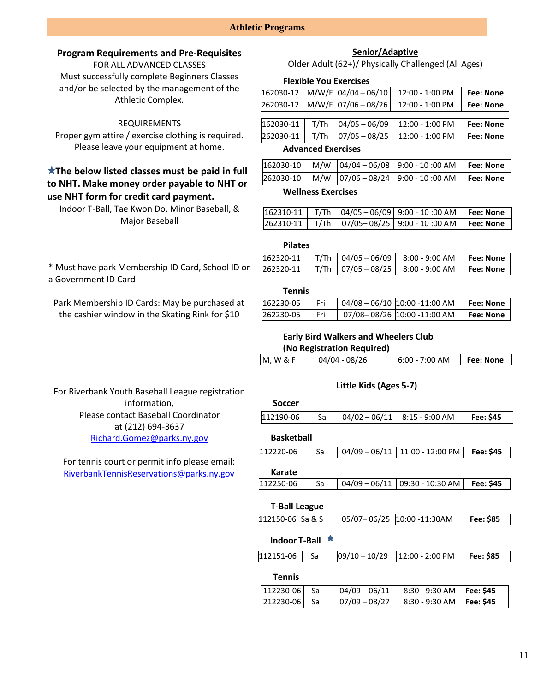### **Athletic Programs**

### **Program Requirements and Pre-Requisites**

FOR ALL ADVANCED CLASSES Must successfully complete Beginners Classes and/or be selected by the management of the Athletic Complex.

### REQUIREMENTS

Proper gym attire / exercise clothing is required. Please leave your equipment at home.

## **The below listed classes must be paid in full to NHT. Make money order payable to NHT or use NHT form for credit card payment.**

Indoor T-Ball, Tae Kwon Do, Minor Baseball, & Major Baseball

\* Must have park Membership ID Card, School ID or a Government ID Card

Park Membership ID Cards: May be purchased at the cashier window in the Skating Rink for \$10

For Riverbank Youth Baseball League registration information, Please contact Baseball Coordinator at (212) 694-3637 [Richard.Gomez@parks.ny.gov](mailto:Richard.Gomez@parks.ny.gov)

For tennis court or permit info please email: [RiverbankTennisReservations@parks.ny.gov](mailto:RiverbankTennisReservations@parks.ny.gov)

### **Senior/Adaptive**

Older Adult (62+)/ Physically Challenged (All Ages)

#### **Flexible You Exercises**

|           |      | $162030-12$ M/W/F 04/04 - 06/10 | 12:00 - 1:00 PM   | <b>Fee: None</b> |
|-----------|------|---------------------------------|-------------------|------------------|
|           |      | $262030-12$ M/W/F 07/06 - 08/26 | 12:00 - 1:00 PM   | <b>Fee: None</b> |
|           |      |                                 |                   |                  |
| 162030-11 | T/Th | $04/05 - 06/09$                 | 12:00 - 1:00 PM   | <b>Fee: None</b> |
| 262030-11 | T/Th | $07/05 - 08/25$                 | $12:00 - 1:00$ PM | Fee: None        |

### **Advanced Exercises**

|                           |  |  | $ 162030-10 $ M/W $ 04/04-06/08 $ 9:00 - 10:00 AM          | <b>Fee: None</b> |
|---------------------------|--|--|------------------------------------------------------------|------------------|
|                           |  |  | 262030-10   M/W  07/06-08/24   9:00 - 10:00 AM   Fee: None |                  |
| <b>Wellness Exercises</b> |  |  |                                                            |                  |

|  | $ 162310-11 $ T/Th $ 04/05-06/09 $ 9:00 - 10:00 AM   Fee: None |  |
|--|----------------------------------------------------------------|--|
|  | 262310-11   T/Th   07/05-08/25   9:00 - 10:00 AM   Fee: None   |  |

### **Pilates**

|  | $\vert 162320 - 11 \vert$ T/Th $\vert 04/05 - 06/09 \vert 8:00 - 9:00$ AM $\vert$ Fee: None |  |
|--|---------------------------------------------------------------------------------------------|--|
|  | $\vert$ 262320-11   T/Th   07/05 - 08/25   8:00 - 9:00 AM   Fee: None                       |  |

#### **Tennis**

| 162230-05 |  | 04/08 – 06/10 10:00 -11:00 AM | <b>Fee: None</b> |
|-----------|--|-------------------------------|------------------|
| 262230-05 |  | 07/08-08/26 10:00 -11:00 AM   | Fee: None        |

## **Early Bird Walkers and Wheelers Club**

| (No Registration Required) |  |
|----------------------------|--|
|                            |  |

| M, W & F | 04/04 - 08/26 | $6:00 - 7:00 AM$ | <b>Fee: None</b> |
|----------|---------------|------------------|------------------|
|          |               |                  |                  |

### **Little Kids (Ages 5-7)**

| <b>Soccer</b>                            |    |                 |                   |           |
|------------------------------------------|----|-----------------|-------------------|-----------|
| 112190-06                                | Sa | $04/02 - 06/11$ | $8:15 - 9:00$ AM  | Fee: \$45 |
| <b>Basketball</b>                        |    |                 |                   |           |
| 112220-06                                | Sa | $04/09 - 06/11$ | 11:00 - 12:00 PM  | Fee: \$45 |
| Karate                                   |    |                 |                   |           |
| 112250-06                                | Sa | $04/09 - 06/11$ | 09:30 - 10:30 AM  | Fee: \$45 |
| <b>T-Ball League</b><br>112150-06 Sa & S |    | $05/07 - 06/25$ | 10:00 -11:30AM    | Fee: \$85 |
| <b>Indoor T-Ball</b>                     |    |                 |                   |           |
| 112151-06                                | Sa | 09/10 – 10/29   | $12:00 - 2:00$ PM | Fee: \$85 |
| <b>Tennis</b>                            |    |                 |                   |           |
| 112230-06                                | Sa | 04/09 - 06/11   | 8:30 - 9:30 AM    | Fee: \$45 |
| 212230-06                                |    |                 |                   |           |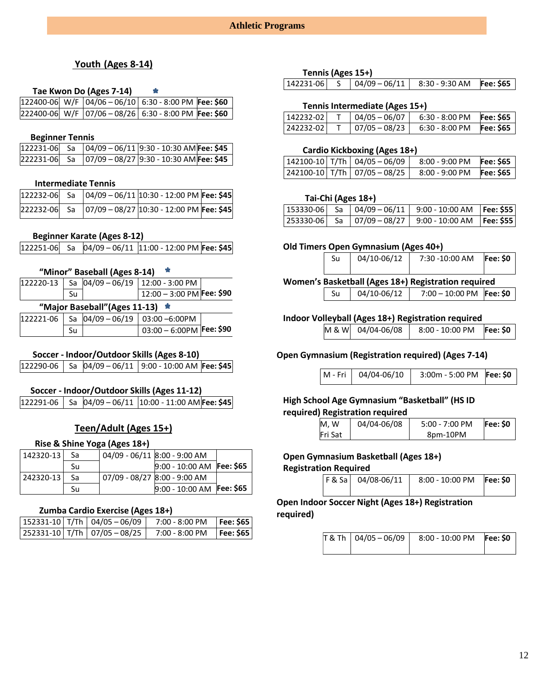### **Youth (Ages 8-14)**

### **Tae Kwon Do (Ages 7-14)**

|  | $ 122400-06 $ W/F $ 04/06-06/10 $ 6:30 - 8:00 PM Fee: \$60 |  |
|--|------------------------------------------------------------|--|
|  | 222400-06 W/F 07/06 - 08/26 6:30 - 8:00 PM Fee: \$60       |  |

#### **Beginner Tennis**

|  | $\vert 122231 - 06 \vert$ Sa $\vert 04/09 - 06/11 \vert 9.30 - 10.30$ AM Fee: \$45 |  |
|--|------------------------------------------------------------------------------------|--|
|  |                                                                                    |  |

### **Intermediate Tennis**

|  | 122232-06 Sa  04/09 - 06/11 10:30 - 12:00 PM Fee: \$45 |  |
|--|--------------------------------------------------------|--|
|  |                                                        |  |

### **Beginner Karate (Ages 8-12)**

|--|--|--|--|--|

#### **"Minor" Baseball (Ages 8-14)**  Y.

|                              |  | $\vert$ 122220-13   Sa $\vert$ 04/09 - 06/19   12:00 - 3:00 PM |  |  |  |
|------------------------------|--|----------------------------------------------------------------|--|--|--|
| Su                           |  | $12:00 - 3:00$ PM Fee: \$90                                    |  |  |  |
| "Major Baseball"(Ages 11-13) |  |                                                                |  |  |  |
|                              |  | $ 122221-06 $ Sa $ 04/09-06/19 03:00-6:00$ PM                  |  |  |  |
| Su                           |  | $03:00 - 6:00$ PM Fee: \$90                                    |  |  |  |

### **Soccer - Indoor/Outdoor Skills (Ages 8-10)**

122290-06 Sa 04/09 – 06/11 9:00 - 10:00 AM **Fee: \$45**

### **Soccer - Indoor/Outdoor Skills (Ages 11-12)**

122291-06 Sa 04/09 – 06/11 10:00 - 11:00 AM **Fee: \$45**

## **Teen/Adult (Ages 15+)**

### **Rise & Shine Yoga (Ages 18+)**

| 142320-13 | Sa | 04/09 - 06/11 8:00 - 9:00 AM |  |
|-----------|----|------------------------------|--|
|           | Su | $9:00 - 10:00$ AM Fee: \$65  |  |
| 242320-13 | Sa | 07/09 - 08/27 8:00 - 9:00 AM |  |
|           | Su | 9:00 - 10:00 AM Fee: \$65    |  |

### **Zumba Cardio Exercise (Ages 18+)**

|  | $152331 - 10$ T/Th 04/05 - 06/09       | $7:00 - 8:00 \text{ PM}$ | Fee: \$65        |
|--|----------------------------------------|--------------------------|------------------|
|  | $ 252331 - 10 $ T/Th $ 07/05 - 08/25 $ | $7:00 - 8:00 \text{ PM}$ | <b>Fee: \$65</b> |

#### **Tennis (Ages 15+)**

| 142231-06 |  |  | $\begin{array}{ c c c c c c c c } \hline 04/09-06/11 & 8:30 - 9:30 AM & \textbf{Fee:} $65 \hline \end{array}$ |  |
|-----------|--|--|---------------------------------------------------------------------------------------------------------------|--|
|-----------|--|--|---------------------------------------------------------------------------------------------------------------|--|

### **Tennis Intermediate (Ages 15+)**

| 142232-02 | $04/05 - 06/07$ | $6:30 - 8:00 \text{ PM}$ | <b>Fee: \$65</b> |
|-----------|-----------------|--------------------------|------------------|
| 242232-02 | 07/05 - 08/23   | $6:30 - 8:00$ PM         | <b>Fee: \$65</b> |

### **Cardio Kickboxing (Ages 18+)**

|  | $142100-10$ T/Th $04/05-06/09$               | $8:00 - 9:00$ PM | Fee: \$65 |
|--|----------------------------------------------|------------------|-----------|
|  | $\vert$ 242100-10 T/Th $\vert$ 07/05 - 08/25 | $8:00 - 9:00$ PM | Fee: \$65 |

### **Tai-Chi (Ages 18+)**

|  | 153330-06  Sa  04/09 - 06/11   9:00 - 10:00 AM  Fee: \$55 |  |
|--|-----------------------------------------------------------|--|
|  | 253330-06  Sa  07/09 - 08/27   9:00 - 10:00 AM  Fee: \$55 |  |

### **Old Timers Open Gymnasium (Ages 40+)**

|                                                     | 04/10-06/12<br>Su |             | 7:30 -10:00 AM             | <b>Fee: \$0</b> |
|-----------------------------------------------------|-------------------|-------------|----------------------------|-----------------|
|                                                     |                   |             |                            |                 |
| Women's Basketball (Ages 18+) Registration required |                   |             |                            |                 |
|                                                     | Su                | 04/10-06/12 | 7:00 - 10:00 PM   Fee: \$0 |                 |

### **Indoor Volleyball (Ages 18+) Registration required**

| M & W 04/04-06/08<br>8:00 - 10:00 PM Fee: \$0 |  |
|-----------------------------------------------|--|
|-----------------------------------------------|--|

### **Open Gymnasium (Registration required) (Ages 7-14)**

|  | M - Fri   04/04-06/10 | 3:00m - 5:00 PM Fee: \$0 |  |
|--|-----------------------|--------------------------|--|
|--|-----------------------|--------------------------|--|

### **High School Age Gymnasium "Basketball" (HS ID required) Registration required**

| M.W     | 04/04-06/08 | $5:00 - 7:00$ PM | Fee: \$0 |
|---------|-------------|------------------|----------|
| Fri Sat |             | 8pm-10PM         |          |

#### **Open Gymnasium Basketball (Ages 18+) Registration Required**

| F & Sa   04/08-06/11 | 8:00 - 10:00 PM Fee: \$0 |  |
|----------------------|--------------------------|--|
|                      |                          |  |

**Open Indoor Soccer Night (Ages 18+) Registration required)**

|  | $T & Th   04/05 - 06/09   8:00 - 10:00 \text{ PM}$ Fee: \$0 |  |
|--|-------------------------------------------------------------|--|
|  |                                                             |  |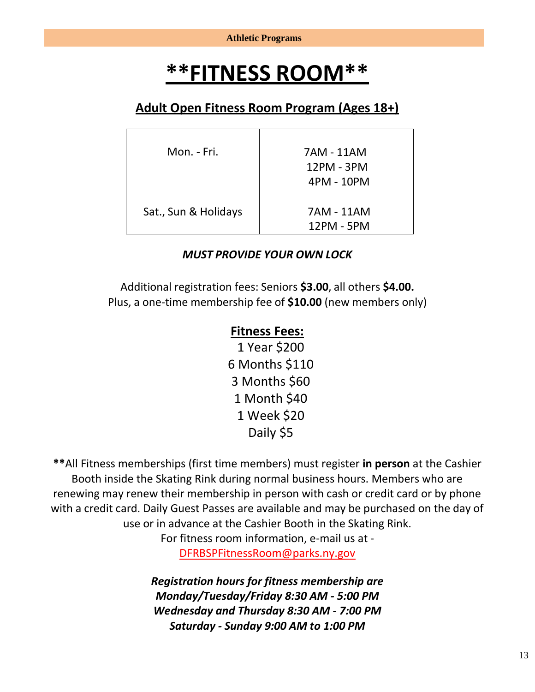# **\*\*FITNESS ROOM\*\***

## **Adult Open Fitness Room Program (Ages 18+)**

| Mon. - Fri.          | 7AM - 11AM<br>12PM - 3PM |
|----------------------|--------------------------|
|                      | 4PM - 10PM               |
| Sat., Sun & Holidays | 7AM - 11AM<br>12PM - 5PM |

## *MUST PROVIDE YOUR OWN LOCK*

Additional registration fees: Seniors **\$3.00**, all others **\$4.00.** Plus, a one-time membership fee of **\$10.00** (new members only)

## **Fitness Fees:**

1 Year \$200 6 Months \$110 3 Months \$60 1 Month \$40 1 Week \$20 Daily \$5

**\*\***All Fitness memberships (first time members) must register **in person** at the Cashier Booth inside the Skating Rink during normal business hours. Members who are renewing may renew their membership in person with cash or credit card or by phone with a credit card. Daily Guest Passes are available and may be purchased on the day of use or in advance at the Cashier Booth in the Skating Rink.

> For fitness room information, e-mail us at - [DFRBSPFitnessRoom@parks.ny.gov](mailto:DFRBSPFitnessRoom@parks.ny.gov)

*Registration hours for fitness membership are Monday/Tuesday/Friday 8:30 AM - 5:00 PM Wednesday and Thursday 8:30 AM - 7:00 PM Saturday - Sunday 9:00 AM to 1:00 PM*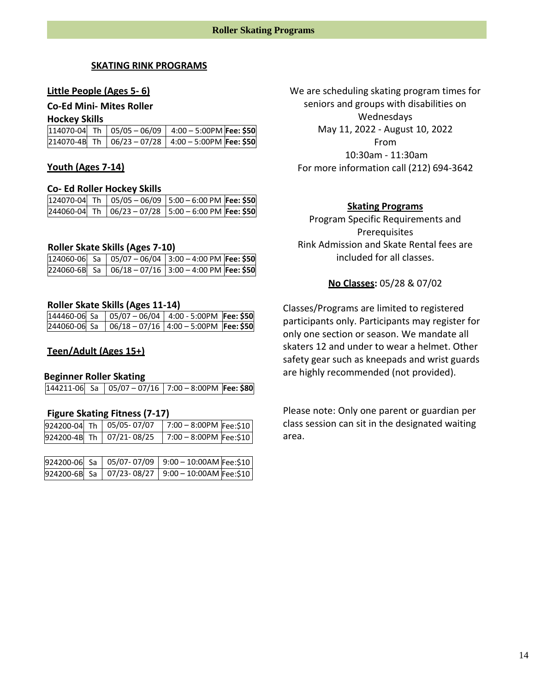### **SKATING RINK PROGRAMS**

### **Little People (Ages 5- 6)**

### **Co-Ed Mini- Mites Roller**

#### **Hockey Skills**

|  | $114070-04$ Th $\vert 05/05-06/09 \vert 4:00-5:00$ PM Fee: \$50 |  |
|--|-----------------------------------------------------------------|--|
|  | 214070-4B Th 06/23 - 07/28 4:00 - 5:00PM Fee: \$50              |  |

### **Youth (Ages 7-14)**

#### **Co- Ed Roller Hockey Skills**

|  | $\sqrt{124070}$ -04 Th $\sqrt{05/05 - 06/09}$ 5:00 - 6:00 PM Fee: \$50 |  |
|--|------------------------------------------------------------------------|--|
|  | 244060-04 Th 06/23-07/28 5:00-6:00 PM Fee: \$50                        |  |

### **Roller Skate Skills (Ages 7-10)**

|  | $\sqrt{124060}$ -06   Sa   05/07 - 06/04   3:00 - 4:00 PM   Fee: \$50 |  |
|--|-----------------------------------------------------------------------|--|
|  | $[224060-6B]$ Sa $[06/18-07/16]$ 3:00 - 4:00 PM Fee: \$50             |  |

### **Roller Skate Skills (Ages 11-14)**

|              | $144460-06$ Sa $\vert$ 05/07 - 06/04 $\vert$ 4:00 - 5:00PM Fee: \$50              |  |
|--------------|-----------------------------------------------------------------------------------|--|
| 244060-06 Sa | $\begin{bmatrix} 06/18 & -07/16 & 4:00 & -5:00 \text{PM} \end{bmatrix}$ Fee: \$50 |  |

### **Teen/Adult (Ages 15+)**

### **Beginner Roller Skating**

|  | 144211-06 Sa   05/07 - 07/16   7:00 - 8:00PM   Fee: \$80 |  |  |
|--|----------------------------------------------------------|--|--|
|--|----------------------------------------------------------|--|--|

#### **Figure Skating Fitness (7-17)**

|  | 924200-04 Th 05/05-07/07 | $7:00 - 8:00$ PM Fee:\$10 |  |
|--|--------------------------|---------------------------|--|
|  | 924200-4B Th 07/21-08/25 | 7:00 - 8:00PM Fee:\$10    |  |

|  | 924200-06 Sa 05/07-07/09 9:00 - 10:00AM Fee:\$10     |  |
|--|------------------------------------------------------|--|
|  | 924200-6B Sa   07/23-08/27   9:00 - 10:00AM Fee:\$10 |  |

We are scheduling skating program times for seniors and groups with disabilities on Wednesdays May 11, 2022 - August 10, 2022 From 10:30am - 11:30am For more information call (212) 694-3642

### **Skating Programs**

Program Specific Requirements and Prerequisites Rink Admission and Skate Rental fees are included for all classes.

### **No Classes:** 05/28 & 07/02

Classes/Programs are limited to registered participants only. Participants may register for only one section or season. We mandate all skaters 12 and under to wear a helmet. Other safety gear such as kneepads and wrist guards are highly recommended (not provided).

Please note: Only one parent or guardian per class session can sit in the designated waiting area.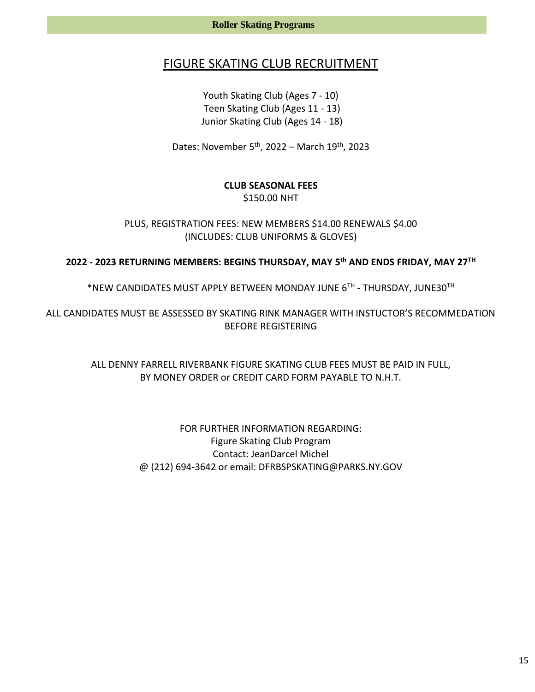## FIGURE SKATING CLUB RECRUITMENT

Youth Skating Club (Ages 7 - 10) Teen Skating Club (Ages 11 - 13) Junior Skating Club (Ages 14 - 18)

Dates: November 5<sup>th</sup>, 2022 – March 19<sup>th</sup>, 2023

## **CLUB SEASONAL FEES** \$150.00 NHT

PLUS, REGISTRATION FEES: NEW MEMBERS \$14.00 RENEWALS \$4.00 (INCLUDES: CLUB UNIFORMS & GLOVES)

## **2022 - 2023 RETURNING MEMBERS: BEGINS THURSDAY, MAY 5 th AND ENDS FRIDAY, MAY 27 TH**

\*NEW CANDIDATES MUST APPLY BETWEEN MONDAY JUNE 6 TH - THURSDAY, JUNE30TH

ALL CANDIDATES MUST BE ASSESSED BY SKATING RINK MANAGER WITH INSTUCTOR'S RECOMMEDATION BEFORE REGISTERING

> ALL DENNY FARRELL RIVERBANK FIGURE SKATING CLUB FEES MUST BE PAID IN FULL, BY MONEY ORDER or CREDIT CARD FORM PAYABLE TO N.H.T.

> > FOR FURTHER INFORMATION REGARDING: Figure Skating Club Program Contact: JeanDarcel Michel @ (212) 694-3642 or email: DFRBSPSKATING@PARKS.NY.GOV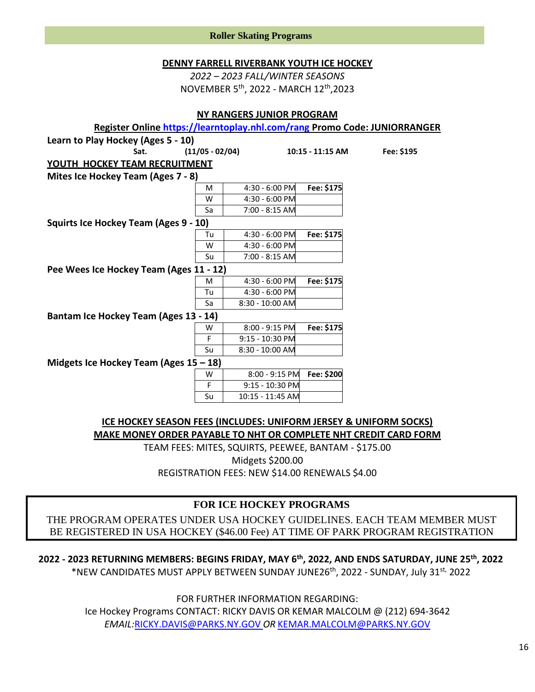| <b>DENNY FARRELL RIVERBANK YOUTH ICE HOCKEY</b><br>2022 - 2023 FALL/WINTER SEASONS<br>NOVEMBER 5th, 2022 - MARCH 12th, 2023<br><b>NY RANGERS JUNIOR PROGRAM</b> |                      |                  |                  |                                                                           |  |  |  |
|-----------------------------------------------------------------------------------------------------------------------------------------------------------------|----------------------|------------------|------------------|---------------------------------------------------------------------------|--|--|--|
|                                                                                                                                                                 |                      |                  |                  | Register Online https://learntoplay.nhl.com/rang Promo Code: JUNIORRANGER |  |  |  |
| Learn to Play Hockey (Ages 5 - 10)                                                                                                                              |                      |                  |                  |                                                                           |  |  |  |
| Sat.                                                                                                                                                            | $(11/05 - 02/04)$    |                  | 10:15 - 11:15 AM | Fee: \$195                                                                |  |  |  |
| <b>YOUTH HOCKEY TEAM RECRUITMENT</b>                                                                                                                            |                      |                  |                  |                                                                           |  |  |  |
| Mites Ice Hockey Team (Ages 7 - 8)                                                                                                                              |                      |                  |                  |                                                                           |  |  |  |
|                                                                                                                                                                 | M                    | 4:30 - 6:00 PM   | Fee: \$175       |                                                                           |  |  |  |
|                                                                                                                                                                 | W                    | 4:30 - 6:00 PM   |                  |                                                                           |  |  |  |
|                                                                                                                                                                 | Sa                   | 7:00 - 8:15 AM   |                  |                                                                           |  |  |  |
| Squirts Ice Hockey Team (Ages 9 - 10)                                                                                                                           |                      |                  |                  |                                                                           |  |  |  |
|                                                                                                                                                                 | Tu                   | 4:30 - 6:00 PM   | Fee: \$175       |                                                                           |  |  |  |
|                                                                                                                                                                 | W                    | 4:30 - 6:00 PM   |                  |                                                                           |  |  |  |
|                                                                                                                                                                 | Su                   | 7:00 - 8:15 AM   |                  |                                                                           |  |  |  |
| Pee Wees Ice Hockey Team (Ages 11 - 12)                                                                                                                         |                      |                  |                  |                                                                           |  |  |  |
|                                                                                                                                                                 | M                    | 4:30 - 6:00 PM   | Fee: \$175       |                                                                           |  |  |  |
|                                                                                                                                                                 | Tu                   | 4:30 - 6:00 PM   |                  |                                                                           |  |  |  |
|                                                                                                                                                                 | Sa                   | 8:30 - 10:00 AM  |                  |                                                                           |  |  |  |
| Bantam Ice Hockey Team (Ages 13 - 14)                                                                                                                           |                      |                  |                  |                                                                           |  |  |  |
|                                                                                                                                                                 | W                    | 8:00 - 9:15 PM   | Fee: \$175       |                                                                           |  |  |  |
|                                                                                                                                                                 | F                    | 9:15 - 10:30 PM  |                  |                                                                           |  |  |  |
|                                                                                                                                                                 | Su                   | 8:30 - 10:00 AM  |                  |                                                                           |  |  |  |
| Midgets Ice Hockey Team (Ages $15 - 18$ )                                                                                                                       |                      |                  |                  |                                                                           |  |  |  |
| 8:00 - 9:15 PM<br>Fee: \$200<br>W                                                                                                                               |                      |                  |                  |                                                                           |  |  |  |
|                                                                                                                                                                 | F<br>9:15 - 10:30 PM |                  |                  |                                                                           |  |  |  |
|                                                                                                                                                                 | Su                   | 10:15 - 11:45 AM |                  |                                                                           |  |  |  |
|                                                                                                                                                                 |                      |                  |                  |                                                                           |  |  |  |

**Roller Skating Programs**

**ICE HOCKEY SEASON FEES (INCLUDES: UNIFORM JERSEY & UNIFORM SOCKS) MAKE MONEY ORDER PAYABLE TO NHT OR COMPLETE NHT CREDIT CARD FORM**

TEAM FEES: MITES, SQUIRTS, PEEWEE, BANTAM - \$175.00 Midgets \$200.00 REGISTRATION FEES: NEW \$14.00 RENEWALS \$4.00

## **FOR ICE HOCKEY PROGRAMS**

THE PROGRAM OPERATES UNDER USA HOCKEY GUIDELINES. EACH TEAM MEMBER MUST BE REGISTERED IN USA HOCKEY (\$46.00 Fee) AT TIME OF PARK PROGRAM REGISTRATION

**2022 - 2023 RETURNING MEMBERS: BEGINS FRIDAY, MAY 6 th , 2022, AND ENDS SATURDAY, JUNE 25th, 2022** \*NEW CANDIDATES MUST APPLY BETWEEN SUNDAY JUNE26th, 2022 - SUNDAY, July 31st, 2022

FOR FURTHER INFORMATION REGARDING:

Ice Hockey Programs CONTACT: RICKY DAVIS OR KEMAR MALCOLM @ (212) 694-3642 *EMAIL:*[RICKY.DAVIS@PARKS.NY.GOV](mailto:RICKY.DAVIS@PARKS.NY.GOV) *OR* [KEMAR.MALCOLM@PARKS.NY.GOV](mailto:KEMAR.MALCOLM@PARKS.NY.GOV)